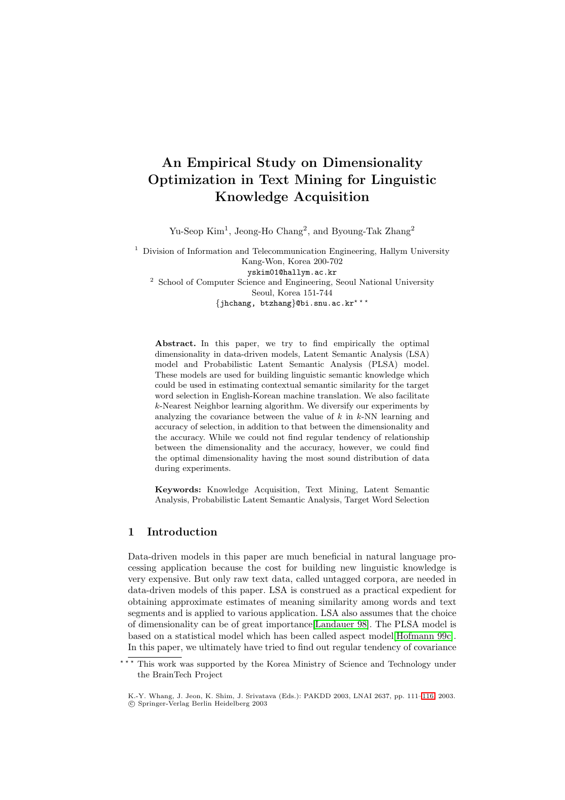# **An Empirical Study on Dimensionality Optimization in Text Mining for Linguistic Knowledge Acquisition**

Yu-Seop  $Kim<sup>1</sup>$ , Jeong-Ho Chang<sup>2</sup>, and Byoung-Tak Zhang<sup>2</sup>

 $1$  Division of Information and Telecommunication Engineering, Hallym University Kang-Won, Korea 200-702  $$\rm yskim01@hallym.ac.kr$$  2 School of Computer Science and Engineering, Seoul National University Seoul, Korea 151-744 {jhchang, btzhang}@bi.snu.ac.kr<sup>\*\*\*</sup>

**Abstract.** In this paper, we try to find empirically the optimal dimensionality in data-driven models, Latent Semantic Analysis (LSA) model and Probabilistic Latent Semantic Analysis (PLSA) model. These models are used for building linguistic semantic knowledge which could be used in estimating contextual semantic similarity for the target word selection in English-Korean machine translation. We also facilitate k-Nearest Neighbor learning algorithm. We diversify our experiments by analyzing the covariance between the value of  $k$  in  $k$ -NN learning and accuracy of selection, in addition to that between the dimensionality and the accuracy. While we could not find regular tendency of relationship between the dimensionality and the accuracy, however, we could find the optimal dimensionality having the most sound distribution of data during experiments.

**Keywords:** Knowledge Acquisition, Text Mining, Latent Semantic Analysis, Probabilistic Latent Semantic Analysis, Target Word Selection

# **1 Introduction**

Data-driven models in this paper are much beneficial in natural language processing application because the cost for building new linguistic knowledge is very expensive. But only raw text data, called untagged corpora, are needed in data-driven models of this paper. LSA is construed as a practical expedient for obtaining approximate estimates of meaning similarity among words and text segments and is applied to various application. LSA also assumes that the choice of dimensionality can be of great importance[\[Landauer 98\]](#page-5-0). The PLSA model is based on a statistical model which has been called aspect model[\[Hofmann 99c\]](#page-5-0). In this paper, we ultimately have tried to find out regular tendency of covariance

<sup>\*\*\*</sup> This work was supported by the Korea Ministry of Science and Technology under the BrainTech Project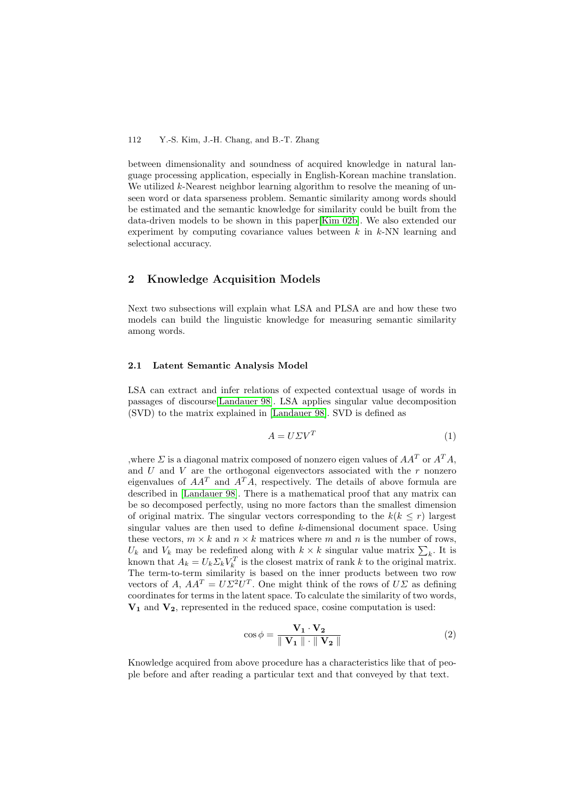between dimensionality and soundness of acquired knowledge in natural language processing application, especially in English-Korean machine translation. We utilized k-Nearest neighbor learning algorithm to resolve the meaning of unseen word or data sparseness problem. Semantic similarity among words should be estimated and the semantic knowledge for similarity could be built from the data-driven models to be shown in this paper[\[Kim 02b\]](#page-5-0). We also extended our experiment by computing covariance values between  $k$  in  $k$ -NN learning and selectional accuracy.

### **2 Knowledge Acquisition Models**

Next two subsections will explain what LSA and PLSA are and how these two models can build the linguistic knowledge for measuring semantic similarity among words.

### **2.1 Latent Semantic Analysis Model**

LSA can extract and infer relations of expected contextual usage of words in passages of discourse[\[Landauer 98\]](#page-5-0). LSA applies singular value decomposition (SVD) to the matrix explained in [\[Landauer 98\]](#page-5-0). SVD is defined as

$$
A = U\Sigma V^T \tag{1}
$$

,where  $\Sigma$  is a diagonal matrix composed of nonzero eigen values of  $AA^T$  or  $A^TA$ , and  $U$  and  $V$  are the orthogonal eigenvectors associated with the  $r$  nonzero eigenvalues of  $AA<sup>T</sup>$  and  $A<sup>T</sup>A$ , respectively. The details of above formula are described in [\[Landauer 98\]](#page-5-0). There is a mathematical proof that any matrix can be so decomposed perfectly, using no more factors than the smallest dimension of original matrix. The singular vectors corresponding to the  $k(k \leq r)$  largest singular values are then used to define *k*-dimensional document space. Using these vectors,  $m \times k$  and  $n \times k$  matrices where m and n is the number of rows,  $U_k$  and  $V_k$  may be redefined along with  $k \times k$  singular value matrix  $\sum_k$ . It is known that  $A_k = U_k \Sigma_k V_k^T$  is the closest matrix of rank k to the original matrix. The term-to-term similarity is based on the inner products between two row vectors of A,  $AA^T = U\Sigma^2 U^T$ . One might think of the rows of  $U\Sigma$  as defining coordinates for terms in the latent space. To calculate the similarity of two words, **V<sup>1</sup>** and **V2**, represented in the reduced space, cosine computation is used:

$$
\cos \phi = \frac{\mathbf{V}_1 \cdot \mathbf{V}_2}{\parallel \mathbf{V}_1 \parallel \cdot \parallel \mathbf{V}_2 \parallel}
$$
 (2)

Knowledge acquired from above procedure has a characteristics like that of people before and after reading a particular text and that conveyed by that text.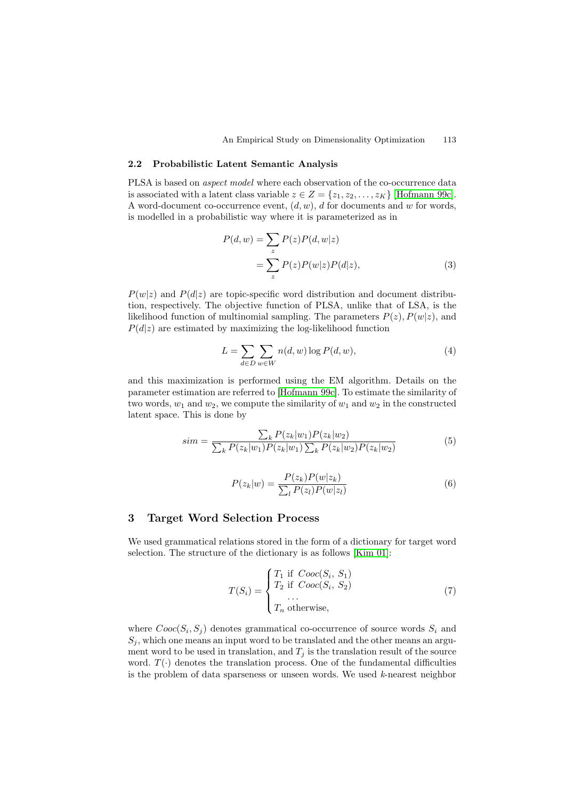#### **2.2 Probabilistic Latent Semantic Analysis**

PLSA is based on *aspect model* where each observation of the co-occurrence data is associated with a latent class variable  $z \in Z = \{z_1, z_2, \ldots, z_K\}$  [\[Hofmann 99c\]](#page-5-0). A word-document co-occurrence event,  $(d, w)$ , d for documents and w for words, is modelled in a probabilistic way where it is parameterized as in

$$
P(d, w) = \sum_{z} P(z)P(d, w|z)
$$
  
= 
$$
\sum_{z} P(z)P(w|z)P(d|z),
$$
 (3)

 $P(w|z)$  and  $P(d|z)$  are topic-specific word distribution and document distribution, respectively. The objective function of PLSA, unlike that of LSA, is the likelihood function of multinomial sampling. The parameters  $P(z)$ ,  $P(w|z)$ , and  $P(d|z)$  are estimated by maximizing the log-likelihood function

$$
L = \sum_{d \in D} \sum_{w \in W} n(d, w) \log P(d, w), \tag{4}
$$

and this maximization is performed using the EM algorithm. Details on the parameter estimation are referred to [\[Hofmann 99c\]](#page-5-0). To estimate the similarity of two words,  $w_1$  and  $w_2$ , we compute the similarity of  $w_1$  and  $w_2$  in the constructed latent space. This is done by

$$
sim = \frac{\sum_{k} P(z_k|w_1) P(z_k|w_2)}{\sum_{k} P(z_k|w_1) P(z_k|w_1) \sum_{k} P(z_k|w_2) P(z_k|w_2)}
$$
(5)

$$
P(z_k|w) = \frac{P(z_k)P(w|z_k)}{\sum_l P(z_l)P(w|z_l)}\tag{6}
$$

### **3 Target Word Selection Process**

We used grammatical relations stored in the form of a dictionary for target word selection. The structure of the dictionary is as follows [\[Kim 01\]](#page-5-0):

$$
T(S_i) = \begin{cases} T_1 \text{ if } Cooc(S_i, S_1) \\ T_2 \text{ if } Cooc(S_i, S_2) \\ \dots \\ T_n \text{ otherwise,} \end{cases}
$$
 (7)

where  $Cooc(S_i, S_j)$  denotes grammatical co-occurrence of source words  $S_i$  and  $S_j$ , which one means an input word to be translated and the other means an argument word to be used in translation, and  $T_i$  is the translation result of the source word.  $T(\cdot)$  denotes the translation process. One of the fundamental difficulties is the problem of data sparseness or unseen words. We used *k*-nearest neighbor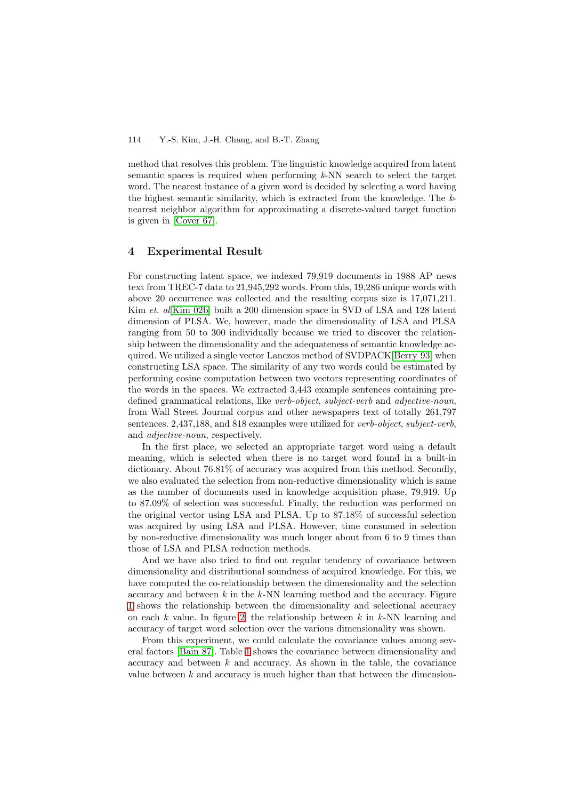method that resolves this problem. The linguistic knowledge acquired from latent semantic spaces is required when performing *k*-NN search to select the target word. The nearest instance of a given word is decided by selecting a word having the highest semantic similarity, which is extracted from the knowledge. The *k*nearest neighbor algorithm for approximating a discrete-valued target function is given in [\[Cover 67\]](#page-5-0).

### **4 Experimental Result**

For constructing latent space, we indexed 79,919 documents in 1988 AP news text from TREC-7 data to 21,945,292 words. From this, 19,286 unique words with above 20 occurrence was collected and the resulting corpus size is 17,071,211. Kim *et. al*[\[Kim 02b\]](#page-5-0) built a 200 dimension space in SVD of LSA and 128 latent dimension of PLSA. We, however, made the dimensionality of LSA and PLSA ranging from 50 to 300 individually because we tried to discover the relationship between the dimensionality and the adequateness of semantic knowledge acquired. We utilized a single vector Lanczos method of SVDPACK[\[Berry 93\]](#page-5-0) when constructing LSA space. The similarity of any two words could be estimated by performing cosine computation between two vectors representing coordinates of the words in the spaces. We extracted 3,443 example sentences containing predefined grammatical relations, like *verb-object*, *subject-verb* and *adjective-noun*, from Wall Street Journal corpus and other newspapers text of totally 261,797 sentences. 2,437,188, and 818 examples were utilized for *verb-object*, *subject-verb*, and *adjective-noun*, respectively.

In the first place, we selected an appropriate target word using a default meaning, which is selected when there is no target word found in a built-in dictionary. About 76.81% of accuracy was acquired from this method. Secondly, we also evaluated the selection from non-reductive dimensionality which is same as the number of documents used in knowledge acquisition phase, 79,919. Up to 87.09% of selection was successful. Finally, the reduction was performed on the original vector using LSA and PLSA. Up to 87.18% of successful selection was acquired by using LSA and PLSA. However, time consumed in selection by non-reductive dimensionality was much longer about from 6 to 9 times than those of LSA and PLSA reduction methods.

And we have also tried to find out regular tendency of covariance between dimensionality and distributional soundness of acquired knowledge. For this, we have computed the co-relationship between the dimensionality and the selection accuracy and between  $k$  in the  $k$ -NN learning method and the accuracy. Figure [1](#page-4-0) shows the relationship between the dimensionality and selectional accuracy on each  $k$  value. In figure [2,](#page-4-0) the relationship between  $k$  in  $k$ -NN learning and accuracy of target word selection over the various dimensionality was shown.

From this experiment, we could calculate the covariance values among several factors [\[Bain 87\]](#page-5-0). Table [1](#page-5-0) shows the covariance between dimensionality and accuracy and between  $k$  and accuracy. As shown in the table, the covariance value between  $k$  and accuracy is much higher than that between the dimension-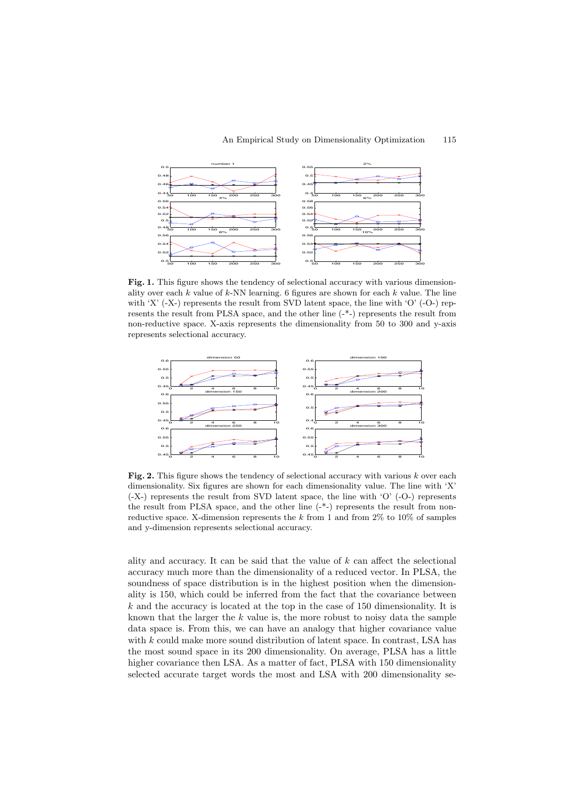<span id="page-4-0"></span>

**Fig. 1.** This figure shows the tendency of selectional accuracy with various dimensionality over each  $k$  value of  $k$ -NN learning. 6 figures are shown for each  $k$  value. The line with 'X'  $(-X-)$  represents the result from SVD latent space, the line with 'O'  $(-O-)$  represents the result from PLSA space, and the other line  $(-*)$  represents the result from non-reductive space. X-axis represents the dimensionality from 50 to 300 and y-axis represents selectional accuracy.



**Fig. 2.** This figure shows the tendency of selectional accuracy with various k over each dimensionality. Six figures are shown for each dimensionality value. The line with 'X' (-X-) represents the result from SVD latent space, the line with 'O' (-O-) represents the result from PLSA space, and the other line  $(*-)$  represents the result from nonreductive space. X-dimension represents the k from 1 and from  $2\%$  to  $10\%$  of samples and y-dimension represents selectional accuracy.

ality and accuracy. It can be said that the value of  $k$  can affect the selectional accuracy much more than the dimensionality of a reduced vector. In PLSA, the soundness of space distribution is in the highest position when the dimensionality is 150, which could be inferred from the fact that the covariance between  $k$  and the accuracy is located at the top in the case of 150 dimensionality. It is known that the larger the  $k$  value is, the more robust to noisy data the sample data space is. From this, we can have an analogy that higher covariance value with  $k$  could make more sound distribution of latent space. In contrast, LSA has the most sound space in its 200 dimensionality. On average, PLSA has a little higher covariance then LSA. As a matter of fact, PLSA with 150 dimensionality selected accurate target words the most and LSA with 200 dimensionality se-